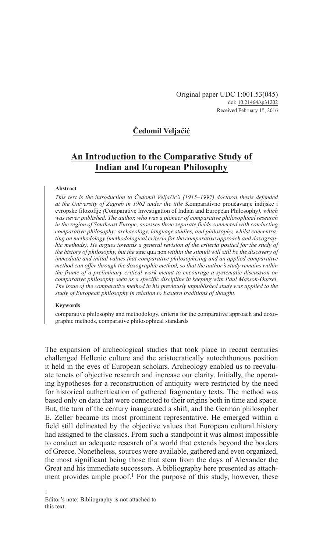Original paper UDC 1:001.53(045) doi: [10.21464/sp3120](https://doi.org/10.21464/sp31202)2 Received February 1st, 2016

# **Čedomil Veljačić**

# **An Introduction to the Comparative Study of Indian and European Philosophy**

### **Abstract**

*This text is the introduction to Čedomil Veljačić's (1915–1997) doctoral thesis defended at the University of Zagreb in 1962 under the title* Komparativno proučavanje indijske i evropske filozofije *(*Comparative Investigation of Indian and European Philosophy*), which was never published. The author, who was a pioneer of comparative philosophical research in the region of Southeast Europe, assesses three separate fields connected with conducting comparative philosophy: archaeology, language studies, and philosophy, whilst concentrating on methodology (methodological criteria for the comparative approach and doxographic methods). He argues towards a general revision of the criteria posited for the study of the history of philosophy, but the* sine qua non *within the stimuli will still be the discovery of immediate and initial values that comparative philosophizing and an applied comparative method can offer through the doxographic method, so that the author's study remains within the frame of a preliminary critical work meant to encourage a systematic discussion on comparative philosophy seen as a specific discipline in keeping with Paul Masson-Oursel. The issue of the comparative method in his previously unpublished study was applied to the study of European philosophy in relation to Eastern traditions of thought.*

### **Keywords**

comparative philosophy and methodology, criteria for the comparative approach and doxographic methods, comparative philosophical standards

The expansion of archeological studies that took place in recent centuries challenged Hellenic culture and the aristocratically autochthonous position it held in the eyes of European scholars. Archeology enabled us to reevaluate tenets of objective research and increase our clarity. Initially, the operating hypotheses for a reconstruction of antiquity were restricted by the need for historical authentication of gathered fragmentary texts. The method was based only on data that were connected to their origins both in time and space. But, the turn of the century inaugurated a shift, and the German philosopher E. Zeller became its most prominent representative. He emerged within a field still delineated by the objective values that European cultural history had assigned to the classics. From such a standpoint it was almost impossible to conduct an adequate research of a world that extends beyond the borders of Greece. Nonetheless, sources were available, gathered and even organized, the most significant being those that stem from the days of Alexander the Great and his immediate successors. A bibliography here presented as attachment provides ample proof.<sup>1</sup> For the purpose of this study, however, these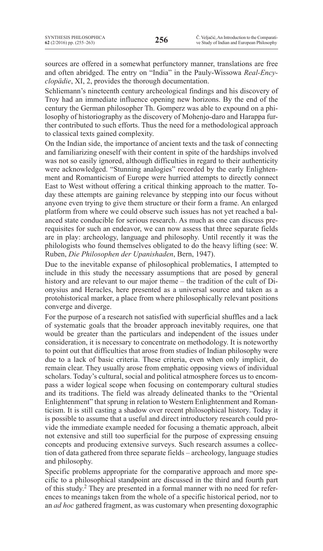sources are offered in a somewhat perfunctory manner, translations are free and often abridged. The entry on "India" in the Pauly-Wissowa *Real-Encyclopädie*, XI, 2, provides the thorough documentation.

Schliemann's nineteenth century archeological findings and his discovery of Troy had an immediate influence opening new horizons. By the end of the century the German philosopher Th. Gomperz was able to expound on a philosophy of historiography as the discovery of Mohenjo-daro and Harappa further contributed to such efforts. Thus the need for a methodological approach to classical texts gained complexity.

On the Indian side, the importance of ancient texts and the task of connecting and familiarizing oneself with their content in spite of the hardships involved was not so easily ignored, although difficulties in regard to their authenticity were acknowledged. "Stunning analogies" recorded by the early Enlightenment and Romanticism of Europe were hurried attempts to directly connect East to West without offering a critical thinking approach to the matter. Today these attempts are gaining relevance by stepping into our focus without anyone even trying to give them structure or their form a frame. An enlarged platform from where we could observe such issues has not yet reached a balanced state conducible for serious research. As much as one can discuss prerequisites for such an endeavor, we can now assess that three separate fields are in play: archeology, language and philosophy. Until recently it was the philologists who found themselves obligated to do the heavy lifting (see: W. Ruben, *Die Philosophen der Upanishaden*, Bern, 1947).

Due to the inevitable expanse of philosophical problematics, I attempted to include in this study the necessary assumptions that are posed by general history and are relevant to our major theme – the tradition of the cult of Dionysius and Heracles, here presented as a universal source and taken as a protohistorical marker, a place from where philosophically relevant positions converge and diverge.

For the purpose of a research not satisfied with superficial shuffles and a lack of systematic goals that the broader approach inevitably requires, one that would be greater than the particulars and independent of the issues under consideration, it is necessary to concentrate on methodology. It is noteworthy to point out that difficulties that arose from studies of Indian philosophy were due to a lack of basic criteria. These criteria, even when only implicit, do remain clear. They usually arose from emphatic opposing views of individual scholars. Today's cultural, social and political atmosphere forces us to encompass a wider logical scope when focusing on contemporary cultural studies and its traditions. The field was already delineated thanks to the "Oriental Enlightenment" that sprung in relation to Western Enlightenment and Romanticism. It is still casting a shadow over recent philosophical history. Today it is possible to assume that a useful and direct introductory research could provide the immediate example needed for focusing a thematic approach, albeit not extensive and still too superficial for the purpose of expressing ensuing concepts and producing extensive surveys. Such research assumes a collection of data gathered from three separate fields – archeology, language studies and philosophy.

Specific problems appropriate for the comparative approach and more specific to a philosophical standpoint are discussed in the third and fourth part of this study.<sup>2</sup> They are presented in a formal manner with no need for references to meanings taken from the whole of a specific historical period, nor to an *ad hoc* gathered fragment, as was customary when presenting doxographic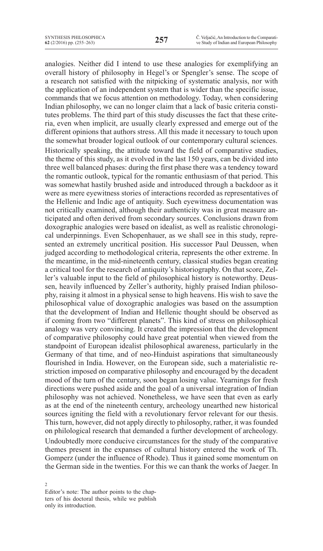analogies. Neither did I intend to use these analogies for exemplifying an overall history of philosophy in Hegel's or Spengler's sense. The scope of a research not satisfied with the nitpicking of systematic analysis, nor with the application of an independent system that is wider than the specific issue, commands that we focus attention on methodology. Today, when considering Indian philosophy, we can no longer claim that a lack of basic criteria constitutes problems. The third part of this study discusses the fact that these criteria, even when implicit, are usually clearly expressed and emerge out of the different opinions that authors stress. All this made it necessary to touch upon the somewhat broader logical outlook of our contemporary cultural sciences. Historically speaking, the attitude toward the field of comparative studies, the theme of this study, as it evolved in the last 150 years, can be divided into three well balanced phases: during the first phase there was a tendency toward the romantic outlook, typical for the romantic enthusiasm of that period. This was somewhat hastily brushed aside and introduced through a backdoor as it were as mere eyewitness stories of interactions recorded as representatives of the Hellenic and Indic age of antiquity. Such eyewitness documentation was not critically examined, although their authenticity was in great measure anticipated and often derived from secondary sources. Conclusions drawn from doxographic analogies were based on idealist, as well as realistic chronological underpinnings. Even Schopenhauer, as we shall see in this study, represented an extremely uncritical position. His successor Paul Deussen, when judged according to methodological criteria, represents the other extreme. In the meantime, in the mid-nineteenth century, classical studies began creating a critical tool for the research of antiquity's historiography. On that score, Zeller's valuable input to the field of philosophical history is noteworthy. Deussen, heavily influenced by Zeller's authority, highly praised Indian philosophy, raising it almost in a physical sense to high heavens. His wish to save the philosophical value of doxographic analogies was based on the assumption that the development of Indian and Hellenic thought should be observed as if coming from two "different planets". This kind of stress on philosophical analogy was very convincing. It created the impression that the development of comparative philosophy could have great potential when viewed from the standpoint of European idealist philosophical awareness, particularly in the Germany of that time, and of neo-Hinduist aspirations that simultaneously flourished in India. However, on the European side, such a materialistic restriction imposed on comparative philosophy and encouraged by the decadent mood of the turn of the century, soon began losing value. Yearnings for fresh directions were pushed aside and the goal of a universal integration of Indian philosophy was not achieved. Nonetheless, we have seen that even as early as at the end of the nineteenth century, archeology unearthed new historical sources igniting the field with a revolutionary fervor relevant for our thesis. This turn, however, did not apply directly to philosophy, rather, it was founded on philological research that demanded a further development of archeology. Undoubtedly more conducive circumstances for the study of the comparative

themes present in the expanses of cultural history entered the work of Th. Gomperz (under the influence of Rhode). Thus it gained some momentum on the German side in the twenties. For this we can thank the works of Jaeger. In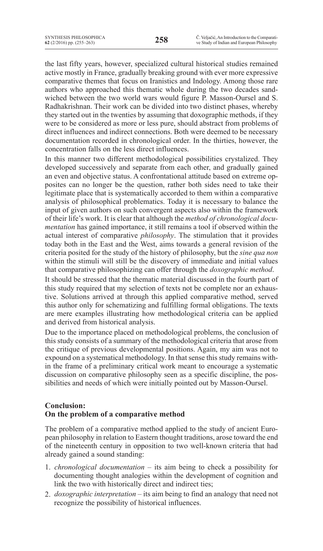the last fifty years, however, specialized cultural historical studies remained active mostly in France, gradually breaking ground with ever more expressive comparative themes that focus on Iranistics and Indology. Among those rare authors who approached this thematic whole during the two decades sandwiched between the two world wars would figure P. Masson-Oursel and S. Radhakrishnan. Their work can be divided into two distinct phases, whereby they started out in the twenties by assuming that doxographic methods, if they were to be considered as more or less pure, should abstract from problems of direct influences and indirect connections. Both were deemed to be necessary documentation recorded in chronological order. In the thirties, however, the concentration falls on the less direct influences.

In this manner two different methodological possibilities crystalized. They developed successively and separate from each other, and gradually gained an even and objective status. A confrontational attitude based on extreme opposites can no longer be the question, rather both sides need to take their legitimate place that is systematically accorded to them within a comparative analysis of philosophical problematics. Today it is necessary to balance the input of given authors on such convergent aspects also within the framework of their life's work. It is clear that although the *method of chronological documentation* has gained importance, it still remains a tool if observed within the actual interest of comparative *philosophy*. The stimulation that it provides today both in the East and the West, aims towards a general revision of the criteria posited for the study of the history of philosophy, but the *sine qua non* within the stimuli will still be the discovery of immediate and initial values that comparative philosophizing can offer through the *doxographic method*.

It should be stressed that the thematic material discussed in the fourth part of this study required that my selection of texts not be complete nor an exhaustive. Solutions arrived at through this applied comparative method, served this author only for schematizing and fulfilling formal obligations. The texts are mere examples illustrating how methodological criteria can be applied and derived from historical analysis.

Due to the importance placed on methodological problems, the conclusion of this study consists of a summary of the methodological criteria that arose from the critique of previous developmental positions. Again, my aim was not to expound on a systematical methodology. In that sense this study remains within the frame of a preliminary critical work meant to encourage a systematic discussion on comparative philosophy seen as a specific discipline, the possibilities and needs of which were initially pointed out by Masson-Oursel.

# **Conclusion: On the problem of a comparative method**

The problem of a comparative method applied to the study of ancient European philosophy in relation to Eastern thought traditions, arose toward the end of the nineteenth century in opposition to two well-known criteria that had already gained a sound standing:

- 1. *chronological documentation* its aim being to check a possibility for documenting thought analogies within the development of cognition and link the two with historically direct and indirect ties;
- 2. *doxographic interpretation* its aim being to find an analogy that need not recognize the possibility of historical influences.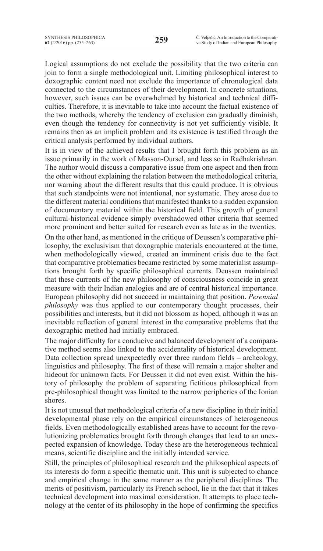Logical assumptions do not exclude the possibility that the two criteria can join to form a single methodological unit. Limiting philosophical interest to doxographic content need not exclude the importance of chronological data connected to the circumstances of their development. In concrete situations, however, such issues can be overwhelmed by historical and technical difficulties. Therefore, it is inevitable to take into account the factual existence of the two methods, whereby the tendency of exclusion can gradually diminish, even though the tendency for connectivity is not yet sufficiently visible. It remains then as an implicit problem and its existence is testified through the critical analysis performed by individual authors.

It is in view of the achieved results that I brought forth this problem as an issue primarily in the work of Masson-Oursel, and less so in Radhakrishnan. The author would discuss a comparative issue from one aspect and then from the other without explaining the relation between the methodological criteria, nor warning about the different results that this could produce. It is obvious that such standpoints were not intentional, nor systematic. They arose due to the different material conditions that manifested thanks to a sudden expansion of documentary material within the historical field. This growth of general cultural-historical evidence simply overshadowed other criteria that seemed more prominent and better suited for research even as late as in the twenties.

On the other hand, as mentioned in the critique of Deussen's comparative philosophy, the exclusivism that doxographic materials encountered at the time, when methodologically viewed, created an imminent crisis due to the fact that comparative problematics became restricted by some materialist assumptions brought forth by specific philosophical currents. Deussen maintained that these currents of the new philosophy of consciousness coincide in great measure with their Indian analogies and are of central historical importance. European philosophy did not succeed in maintaining that position. *Perennial philosophy* was thus applied to our contemporary thought processes, their possibilities and interests, but it did not blossom as hoped, although it was an inevitable reflection of general interest in the comparative problems that the doxographic method had initially embraced.

The major difficulty for a conducive and balanced development of a comparative method seems also linked to the accidentality of historical development. Data collection spread unexpectedly over three random fields – archeology, linguistics and philosophy. The first of these will remain a major shelter and hideout for unknown facts. For Deussen it did not even exist. Within the history of philosophy the problem of separating fictitious philosophical from pre-philosophical thought was limited to the narrow peripheries of the Ionian shores.

It is not unusual that methodological criteria of a new discipline in their initial developmental phase rely on the empirical circumstances of heterogeneous fields. Even methodologically established areas have to account for the revolutionizing problematics brought forth through changes that lead to an unexpected expansion of knowledge. Today these are the heterogeneous technical means, scientific discipline and the initially intended service.

Still, the principles of philosophical research and the philosophical aspects of its interests do form a specific thematic unit. This unit is subjected to chance and empirical change in the same manner as the peripheral disciplines. The merits of positivism, particularly its French school, lie in the fact that it takes technical development into maximal consideration. It attempts to place technology at the center of its philosophy in the hope of confirming the specifics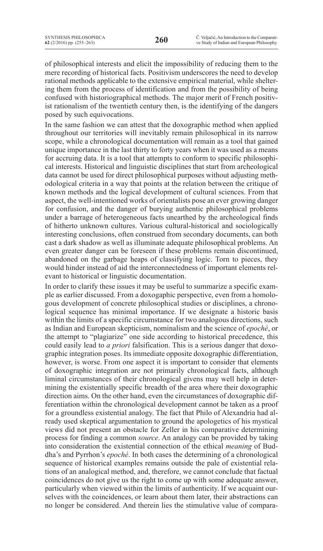of philosophical interests and elicit the impossibility of reducing them to the mere recording of historical facts. Positivism underscores the need to develop rational methods applicable to the extensive empirical material, while sheltering them from the process of identification and from the possibility of being confused with historiographical methods. The major merit of French positivist rationalism of the twentieth century then, is the identifying of the dangers posed by such equivocations.

In the same fashion we can attest that the doxographic method when applied throughout our territories will inevitably remain philosophical in its narrow scope, while a chronological documentation will remain as a tool that gained unique importance in the last thirty to forty years when it was used as a means for accruing data. It is a tool that attempts to conform to specific philosophical interests. Historical and linguistic disciplines that start from archeological data cannot be used for direct philosophical purposes without adjusting methodological criteria in a way that points at the relation between the critique of known methods and the logical development of cultural sciences. From that aspect, the well-intentioned works of orientalists pose an ever growing danger for confusion, and the danger of burying authentic philosophical problems under a barrage of heterogeneous facts unearthed by the archeological finds of hitherto unknown cultures. Various cultural-historical and sociologically interesting conclusions, often construed from secondary documents, can both cast a dark shadow as well as illuminate adequate philosophical problems. An even greater danger can be foreseen if these problems remain discontinued, abandoned on the garbage heaps of classifying logic. Torn to pieces, they would hinder instead of aid the interconnectedness of important elements relevant to historical or linguistic documentation.

In order to clarify these issues it may be useful to summarize a specific example as earlier discussed. From a doxogaphic perspective, even from a homologous development of concrete philosophical studies or disciplines, a chronological sequence has minimal importance. If we designate a historic basis within the limits of a specific circumstance for two analogous directions, such as Indian and European skepticism, nominalism and the science of *epoché*, or the attempt to "plagiarize" one side according to historical precedence, this could easily lead to *a priori* falsification. This is a serious danger that doxographic integration poses. Its immediate opposite doxographic differentiation, however, is worse. From one aspect it is important to consider that elements of doxographic integration are not primarily chronological facts, although liminal circumstances of their chronological givens may well help in determining the existentially specific breadth of the area where their doxographic direction aims. On the other hand, even the circumstances of doxographic differentiation within the chronological development cannot be taken as a proof for a groundless existential analogy. The fact that Philo of Alexandria had already used skeptical argumentation to ground the apologetics of his mystical views did not present an obstacle for Zeller in his comparative determining process for finding a common *source*. An analogy can be provided by taking into consideration the existential connection of the ethical *meaning* of Buddha's and Pyrrhon's *epoché*. In both cases the determining of a chronological sequence of historical examples remains outside the pale of existential relations of an analogical method, and, therefore, we cannot conclude that factual coincidences do not give us the right to come up with some adequate answer, particularly when viewed within the limits of authenticity. If we acquaint ourselves with the coincidences, or learn about them later, their abstractions can no longer be considered. And therein lies the stimulative value of compara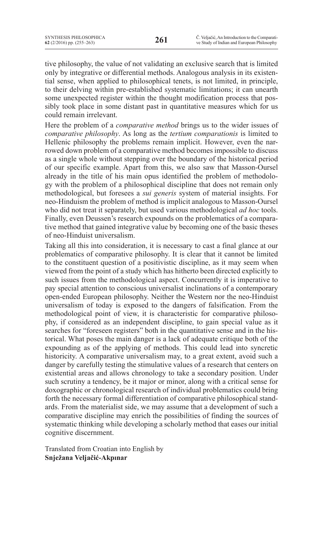tive philosophy, the value of not validating an exclusive search that is limited only by integrative or differential methods. Analogous analysis in its existential sense, when applied to philosophical tenets, is not limited, in principle, to their delving within pre-established systematic limitations; it can unearth some unexpected register within the thought modification process that possibly took place in some distant past in quantitative measures which for us could remain irrelevant.

Here the problem of a *comparative method* brings us to the wider issues of *comparative philosophy*. As long as the *tertium comparationis* is limited to Hellenic philosophy the problems remain implicit. However, even the narrowed down problem of a comparative method becomes impossible to discuss as a single whole without stepping over the boundary of the historical period of our specific example. Apart from this, we also saw that Masson-Oursel already in the title of his main opus identified the problem of methodology with the problem of a philosophical discipline that does not remain only methodological, but foresees a *sui generis* system of material insights. For neo-Hinduism the problem of method is implicit analogous to Masson-Oursel who did not treat it separately, but used various methodological *ad hoc* tools. Finally, even Deussen's research expounds on the problematics of a comparative method that gained integrative value by becoming one of the basic theses of neo-Hinduist universalism.

Taking all this into consideration, it is necessary to cast a final glance at our problematics of comparative philosophy. It is clear that it cannot be limited to the constituent question of a positivistic discipline, as it may seem when viewed from the point of a study which has hitherto been directed explicitly to such issues from the methodological aspect. Concurrently it is imperative to pay special attention to conscious universalist inclinations of a contemporary open-ended European philosophy. Neither the Western nor the neo-Hinduist universalism of today is exposed to the dangers of falsification. From the methodological point of view, it is characteristic for comparative philosophy, if considered as an independent discipline, to gain special value as it searches for "foreseen registers" both in the quantitative sense and in the historical. What poses the main danger is a lack of adequate critique both of the expounding as of the applying of methods. This could lead into syncretic historicity. A comparative universalism may, to a great extent, avoid such a danger by carefully testing the stimulative values of a research that centers on existential areas and allows chronology to take a secondary position. Under such scrutiny a tendency, be it major or minor, along with a critical sense for doxographic or chronological research of individual problematics could bring forth the necessary formal differentiation of comparative philosophical standards. From the materialist side, we may assume that a development of such a comparative discipline may enrich the possibilities of finding the sources of systematic thinking while developing a scholarly method that eases our initial cognitive discernment.

Translated from Croatian into English by **Snježana Veljačić-Akpınar**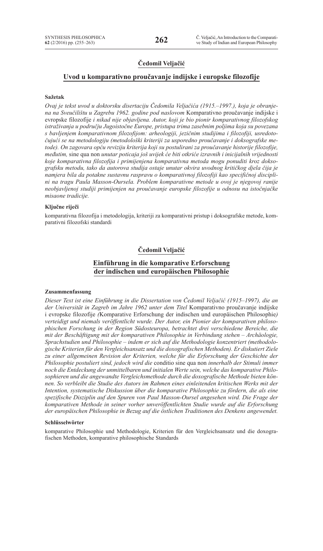## **Čedomil Veljačić**

### **Uvod u komparativno proučavanje indijske i europske filozofije**

#### **Sažetak**

*Ovaj je tekst uvod u doktorsku disertaciju Čedomila Veljačića (1915.–1997.), koja je obranjena na Sveučilištu u Zagrebu 1962. godine pod naslovom* Komparativno proučavanje indijske i evropske filozofije *i nikad nije objavljena. Autor, koji je bio pionir komparativnog filozofskog istraživanja u području Jugoistočne Europe, pristupa trima zasebnim poljima koja su povezana s bavljenjem komparativnom filozofijom: arheologiji, jezičnim studijima i filozofiji, usredotočujući se na metodologiju (metodološki kriteriji za usporedno proučavanje i doksografske metode). On zagovara opću reviziju kriterija koji su postulirani za proučavanje historije filozofije, međutim,* sine qua non *unutar poticaja još uvijek će biti otkriće izravnih i inicijalnih vrijednosti koje komparativna filozofija i primijenjena komparativna metoda mogu ponuditi kroz doksografsku metodu, tako da autorova studija ostaje unutar okvira uvodnog kritičkog djela čija je namjera bila da potakne sustavnu raspravu o komparativnoj filozofiji kao specifičnoj disciplini na tragu Paula Masson-Oursela. Problem komparativne metode u ovoj je njegovoj ranije neobjavljenoj studiji primijenjen na proučavanje europske filozofije u odnosu na istočnjačke misaone tradicije.*

#### **Ključne riječi**

komparativna filozofija i metodologija, kriteriji za komparativni pristup i doksografske metode, komparativni filozofski standardi

## **Čedomil Veljačić**

## **Einführung in die komparative Erforschung der indischen und europäischen Philosophie**

#### **Zusammenfassung**

*Dieser Text ist eine Einführung in die Dissertation von Čedomil Veljačić (1915–1997), die an der Universität in Zagreb im Jahre 1962 unter dem Titel* Komparativno proučavanje indijske i evropske filozofije *(*Komparative Erforschung der indischen und europäischen Philosophie*) verteidigt und niemals veröffentlicht wurde. Der Autor, ein Pionier der komparativen philosophischen Forschung in der Region Südosteuropa, betrachtet drei verschiedene Bereiche, die mit der Beschäftigung mit der komparativen Philosophie in Verbindung stehen – Archäologie, Sprachstudien und Philosophie – indem er sich auf die Methodologie konzentriert (methodologische Kriterien für den Vergleichsansatz und die doxografischen Methoden). Er diskutiert Ziele zu einer allgemeinen Revision der Kriterien, welche für die Erforschung der Geschichte der Philosophie postuliert sind, jedoch wird die* conditio sine qua non *innerhalb der Stimuli immer noch die Entdeckung der unmittelbaren und initialen Werte sein, welche das komparative Philosophieren und die angewandte Vergleichsmethode durch die doxografische Methode bieten können. So verbleibt die Studie des Autors im Rahmen eines einleitenden kritischen Werks mit der Intention, systematische Diskussion über die komparative Philosophie zu fördern, die als eine spezifische Disziplin auf den Spuren von Paul Masson-Oursel angesehen wird. Die Frage der komparativen Methode in seiner vorher unveröffentlichten Studie wurde auf die Erforschung der europäischen Philosophie in Bezug auf die östlichen Traditionen des Denkens angewendet.*

#### **Schlüsselwörter**

komparative Philosophie und Methodologie, Kriterien für den Vergleichsansatz und die doxografischen Methoden, komparative philosophische Standards